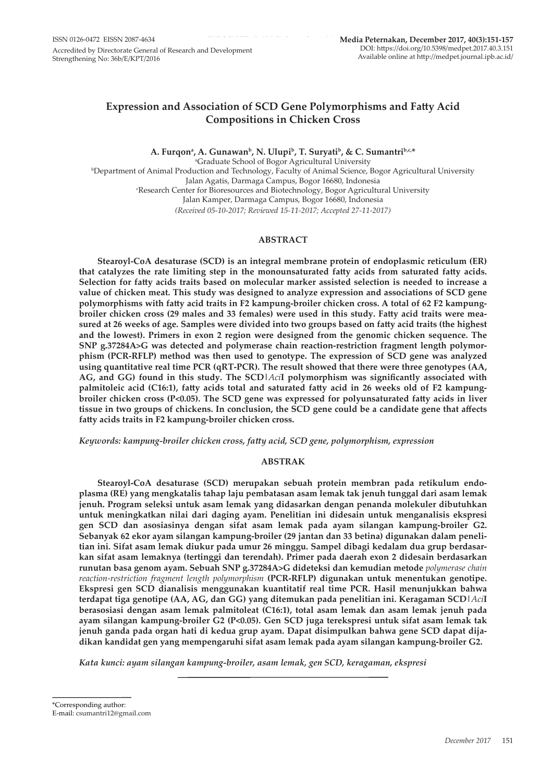# **Expression and Association of SCD Gene Polymorphisms and Fatty Acid Compositions in Chicken Cross**

A. Furqonª, A. Gunawan<sup>ь</sup>, N. Ulupi<sup>ь</sup>, T. Suryati<sup>ь</sup>, & C. Sumantri<sup>ь,</sup>c,\* <sup>a</sup>Graduate School of Bogor Agricultural University b Department of Animal Production and Technology, Faculty of Animal Science, Bogor Agricultural University Jalan Agatis, Darmaga Campus, Bogor 16680, Indonesia c Research Center for Bioresources and Biotechnology, Bogor Agricultural University Jalan Kamper, Darmaga Campus, Bogor 16680, Indonesia *(Received 05-10-2017; Reviewed 15-11-2017; Accepted 27-11-2017)*

# **ABSTRACT**

**Stearoyl-CoA desaturase (SCD) is an integral membrane protein of endoplasmic reticulum (ER) that catalyzes the rate limiting step in the monounsaturated fatty acids from saturated fatty acids. Selection for fatty acids traits based on molecular marker assisted selection is needed to increase a value of chicken meat. This study was designed to analyze expression and associations of SCD gene polymorphisms with fatty acid traits in F2 kampung-broiler chicken cross. A total of 62 F2 kampungbroiler chicken cross (29 males and 33 females) were used in this study. Fatty acid traits were measured at 26 weeks of age. Samples were divided into two groups based on fatty acid traits (the highest and the lowest). Primers in exon 2 region were designed from the genomic chicken sequence. The SNP g.37284A>G was detected and polymerase chain reaction-restriction fragment length polymorphism (PCR-RFLP) method was then used to genotype. The expression of SCD gene was analyzed using quantitative real time PCR (qRT-PCR). The result showed that there were three genotypes (AA, AG, and GG) found in this study. The SCD|***Aci***I polymorphism was significantly associated with palmitoleic acid (C16:1), fatty acids total and saturated fatty acid in 26 weeks old of F2 kampungbroiler chicken cross (P<0.05). The SCD gene was expressed for polyunsaturated fatty acids in liver tissue in two groups of chickens. In conclusion, the SCD gene could be a candidate gene that affects fatty acids traits in F2 kampung-broiler chicken cross.**

*Keywords: kampung-broiler chicken cross, fatty acid, SCD gene, polymorphism, expression*

# **ABSTRAK**

**Stearoyl-CoA desaturase (SCD) merupakan sebuah protein membran pada retikulum endoplasma (RE) yang mengkatalis tahap laju pembatasan asam lemak tak jenuh tunggal dari asam lemak jenuh. Program seleksi untuk asam lemak yang didasarkan dengan penanda molekuler dibutuhkan untuk meningkatkan nilai dari daging ayam. Penelitian ini didesain untuk menganalisis ekspresi gen SCD dan asosiasinya dengan sifat asam lemak pada ayam silangan kampung-broiler G2. Sebanyak 62 ekor ayam silangan kampung-broiler (29 jantan dan 33 betina) digunakan dalam penelitian ini. Sifat asam lemak diukur pada umur 26 minggu. Sampel dibagi kedalam dua grup berdasarkan sifat asam lemaknya (tertinggi dan terendah). Primer pada daerah exon 2 didesain berdasarkan runutan basa genom ayam. Sebuah SNP g.37284A>G dideteksi dan kemudian metode** *polymerase chain reaction-restriction fragment length polymorphism* **(PCR-RFLP) digunakan untuk menentukan genotipe. Ekspresi gen SCD dianalisis menggunakan kuantitatif real time PCR. Hasil menunjukkan bahwa terdapat tiga genotipe (AA, AG, dan GG) yang ditemukan pada penelitian ini. Keragaman SCD|***Aci***I berasosiasi dengan asam lemak palmitoleat (C16:1), total asam lemak dan asam lemak jenuh pada ayam silangan kampung-broiler G2 (P<0.05). Gen SCD juga terekspresi untuk sifat asam lemak tak jenuh ganda pada organ hati di kedua grup ayam. Dapat disimpulkan bahwa gene SCD dapat dijadikan kandidat gen yang mempengaruhi sifat asam lemak pada ayam silangan kampung-broiler G2.**

*Kata kunci: ayam silangan kampung-broiler, asam lemak, gen SCD, keragaman, ekspresi*

<sup>\*</sup>Corresponding author: E-mail: csumantri12@gmail.com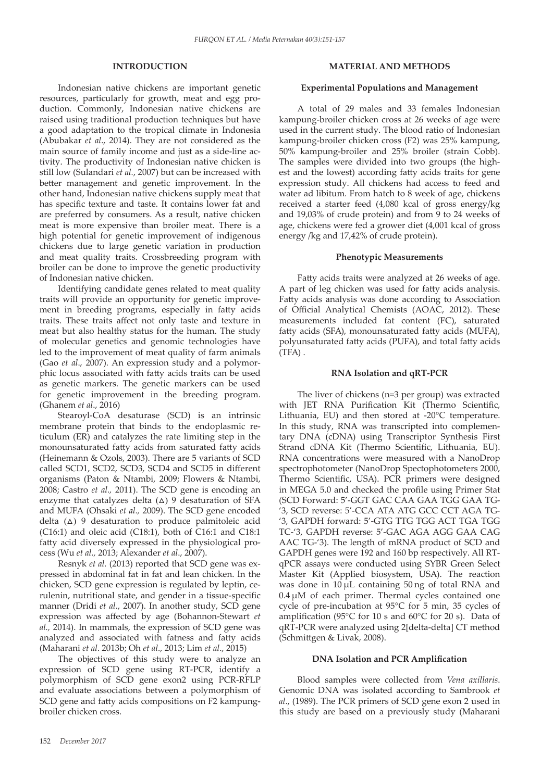# **INTRODUCTION**

Indonesian native chickens are important genetic resources, particularly for growth, meat and egg production. Commonly, Indonesian native chickens are raised using traditional production techniques but have a good adaptation to the tropical climate in Indonesia (Abubakar *et al*., 2014). They are not considered as the main source of family income and just as a side-line activity. The productivity of Indonesian native chicken is still low (Sulandari *et al.*, 2007) but can be increased with better management and genetic improvement. In the other hand, Indonesian native chickens supply meat that has specific texture and taste. It contains lower fat and are preferred by consumers. As a result, native chicken meat is more expensive than broiler meat. There is a high potential for genetic improvement of indigenous chickens due to large genetic variation in production and meat quality traits. Crossbreeding program with broiler can be done to improve the genetic productivity of Indonesian native chicken.

Identifying candidate genes related to meat quality traits will provide an opportunity for genetic improvement in breeding programs, especially in fatty acids traits. These traits affect not only taste and texture in meat but also healthy status for the human. The study of molecular genetics and genomic technologies have led to the improvement of meat quality of farm animals (Gao *et al*., 2007). An expression study and a polymorphic locus associated with fatty acids traits can be used as genetic markers. The genetic markers can be used for genetic improvement in the breeding program. (Ghanem *et al*., 2016)

Stearoyl-CoA desaturase (SCD) is an intrinsic membrane protein that binds to the endoplasmic reticulum (ER) and catalyzes the rate limiting step in the monounsaturated fatty acids from saturated fatty acids (Heinemann & Ozols, 2003). There are 5 variants of SCD called SCD1, SCD2, SCD3, SCD4 and SCD5 in different organisms (Paton & Ntambi, 2009; Flowers & Ntambi, 2008; Castro *et al.,* 2011). The SCD gene is encoding an enzyme that catalyzes delta  $(\Delta)$  9 desaturation of SFA and MUFA (Ohsaki *et al.,* 2009). The SCD gene encoded delta  $(\Delta)$  9 desaturation to produce palmitoleic acid (C16:1) and oleic acid (C18:1), both of C16:1 and C18:1 fatty acid diversely expressed in the physiological process (Wu *et al.,* 2013; Alexander *et al*., 2007).

Resnyk *et al.* (2013) reported that SCD gene was expressed in abdominal fat in fat and lean chicken. In the chicken, SCD gene expression is regulated by leptin, cerulenin, nutritional state, and gender in a tissue-specific manner (Dridi *et al*., 2007). In another study, SCD gene expression was affected by age (Bohannon-Stewart *et al.,* 2014). In mammals, the expression of SCD gene was analyzed and associated with fatness and fatty acids (Maharani *et al*. 2013b; Oh *et al*., 2013; Lim *et al*., 2015)

The objectives of this study were to analyze an expression of SCD gene using RT-PCR, identify a polymorphism of SCD gene exon2 using PCR-RFLP and evaluate associations between a polymorphism of SCD gene and fatty acids compositions on F2 kampungbroiler chicken cross.

# **MATERIAL AND METHODS**

## **Experimental Populations and Management**

A total of 29 males and 33 females Indonesian kampung-broiler chicken cross at 26 weeks of age were used in the current study. The blood ratio of Indonesian kampung-broiler chicken cross (F2) was 25% kampung, 50% kampung-broiler and 25% broiler (strain Cobb). The samples were divided into two groups (the highest and the lowest) according fatty acids traits for gene expression study. All chickens had access to feed and water ad libitum*.* From hatch to 8 week of age, chickens received a starter feed (4,080 kcal of gross energy/kg and 19,03% of crude protein) and from 9 to 24 weeks of age, chickens were fed a grower diet (4,001 kcal of gross energy /kg and 17,42% of crude protein).

## **Phenotypic Measurements**

Fatty acids traits were analyzed at 26 weeks of age. A part of leg chicken was used for fatty acids analysis. Fatty acids analysis was done according to Association of Official Analytical Chemists (AOAC, 2012). These measurements included fat content (FC), saturated fatty acids (SFA), monounsaturated fatty acids (MUFA), polyunsaturated fatty acids (PUFA), and total fatty acids  $(TFA)$ .

# **RNA Isolation and qRT-PCR**

The liver of chickens (n=3 per group) was extracted with JET RNA Purification Kit (Thermo Scientific, Lithuania, EU) and then stored at -20°C temperature. In this study, RNA was transcripted into complementary DNA (cDNA) using Transcriptor Synthesis First Strand cDNA Kit (Thermo Scientific, Lithuania, EU). RNA concentrations were measured with a NanoDrop spectrophotometer (NanoDrop Spectophotometers 2000, Thermo Scientific, USA). PCR primers were designed in MEGA 5.0 and checked the profile using Primer Stat (SCD Forward: 5'-GGT GAC CAA GAA TGG GAA TG- '3, SCD reverse: 5'-CCA ATA ATG GCC CCT AGA TG- '3, GAPDH forward: 5'-GTG TTG TGG ACT TGA TGG TC-'3, GAPDH reverse: 5'-GAC AGA AGG GAA CAG AAC TG-'3). The length of mRNA product of SCD and GAPDH genes were 192 and 160 bp respectively. All RTqPCR assays were conducted using SYBR Green Select Master Kit (Applied biosystem, USA). The reaction was done in 10 μL containing 50 ng of total RNA and  $0.4 \mu M$  of each primer. Thermal cycles contained one cycle of pre-incubation at 95°C for 5 min, 35 cycles of amplification (95°C for 10 s and 60°C for 20 s). Data of qRT-PCR were analyzed using 2[delta-delta] CT method (Schmittgen & Livak, 2008).

#### **DNA Isolation and PCR Amplification**

Blood samples were collected from *Vena axillaris*. Genomic DNA was isolated according to Sambrook *et al*., (1989). The PCR primers of SCD gene exon 2 used in this study are based on a previously study (Maharani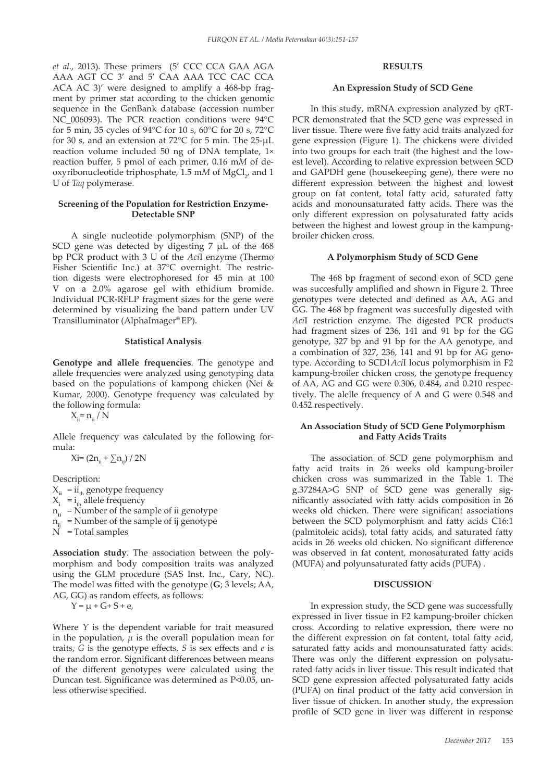*et al*., 2013). These primers (5' CCC CCA GAA AGA AAA AGT CC 3' and 5' CAA AAA TCC CAC CCA ACA AC 3)' were designed to amplify a 468-bp fragment by primer stat according to the chicken genomic sequence in the GenBank database (accession number NC\_006093). The PCR reaction conditions were 94°C for 5 min, 35 cycles of 94°C for 10 s, 60°C for 20 s, 72°C for 30 s, and an extension at 72°C for 5 min. The 25-µL reaction volume included 50 ng of DNA template, 1× reaction buffer, 5 pmol of each primer, 0.16 m*M* of deoxyribonucleotide triphosphate, 1.5 mM of MgCl<sub>2</sub>, and 1 U of *Taq* polymerase.

#### **Screening of the Population for Restriction Enzyme-Detectable SNP**

A single nucleotide polymorphism (SNP) of the SCD gene was detected by digesting  $7 \mu L$  of the  $468$ bp PCR product with 3 U of the *Aci*I enzyme (Thermo Fisher Scientific Inc.) at 37°C overnight. The restriction digests were electrophoresed for 45 min at 100 V on a 2.0% agarose gel with ethidium bromide. Individual PCR-RFLP fragment sizes for the gene were determined by visualizing the band pattern under UV Transilluminator (AlphaImager® EP).

#### **Statistical Analysis**

**Genotype and allele frequencies**. The genotype and allele frequencies were analyzed using genotyping data based on the populations of kampong chicken (Nei & Kumar, 2000). Genotype frequency was calculated by the following formula:

 $X_{ii} = n_{ii} / N$ 

Allele frequency was calculated by the following formula:

 $X_i = (2n_{ii} + \sum n_{ii}) / 2N$ 

Description:

 $X_{ii}$  = ii<sub>th</sub> genotype frequency

 $X_i$ <sup> $= i_{th}$ </sup> allele frequency

 $n_{ii}$  = Number of the sample of ii genotype

n**i**<sup>j</sup> = Number of the sample of ij genotype

N = Total samples

**Association study**. The association between the polymorphism and body composition traits was analyzed using the GLM procedure (SAS Inst. Inc., Cary, NC). The model was fitted with the genotype (**G**; 3 levels; AA, AG, GG) as random effects, as follows:

$$
Y = \mu + G + S + e,
$$

Where *Y* is the dependent variable for trait measured in the population, *μ* is the overall population mean for traits, *G* is the genotype effects, *S* is sex effects and *e* is the random error. Significant differences between means of the different genotypes were calculated using the Duncan test. Significance was determined as P<0.05, unless otherwise specified.

# **RESULTS**

#### **An Expression Study of SCD Gene**

In this study, mRNA expression analyzed by qRT-PCR demonstrated that the SCD gene was expressed in liver tissue. There were five fatty acid traits analyzed for gene expression (Figure 1). The chickens were divided into two groups for each trait (the highest and the lowest level). According to relative expression between SCD and GAPDH gene (housekeeping gene), there were no different expression between the highest and lowest group on fat content, total fatty acid, saturated fatty acids and monounsaturated fatty acids. There was the only different expression on polysaturated fatty acids between the highest and lowest group in the kampungbroiler chicken cross.

## **A Polymorphism Study of SCD Gene**

The 468 bp fragment of second exon of SCD gene was succesfully amplified and shown in Figure 2. Three genotypes were detected and defined as AA, AG and GG. The 468 bp fragment was succesfully digested with *Aci*I restriction enzyme. The digested PCR products had fragment sizes of 236, 141 and 91 bp for the GG genotype, 327 bp and 91 bp for the AA genotype, and a combination of 327, 236, 141 and 91 bp for AG genotype. According to SCD|*Aci*I locus polymorphism in F2 kampung-broiler chicken cross, the genotype frequency of AA, AG and GG were 0.306, 0.484, and 0.210 respectively. The alelle frequency of A and G were 0.548 and 0.452 respectively.

## **An Association Study of SCD Gene Polymorphism and Fatty Acids Traits**

The association of SCD gene polymorphism and fatty acid traits in 26 weeks old kampung-broiler chicken cross was summarized in the Table 1. The g.37284A>G SNP of SCD gene was generally significantly associated with fatty acids composition in 26 weeks old chicken. There were significant associations between the SCD polymorphism and fatty acids C16:1 (palmitoleic acids), total fatty acids, and saturated fatty acids in 26 weeks old chicken. No significant difference was observed in fat content, monosaturated fatty acids (MUFA) and polyunsaturated fatty acids (PUFA) .

# **DISCUSSION**

In expression study, the SCD gene was successfully expressed in liver tissue in F2 kampung-broiler chicken cross. According to relative expression, there were no the different expression on fat content, total fatty acid, saturated fatty acids and monounsaturated fatty acids. There was only the different expression on polysaturated fatty acids in liver tissue. This result indicated that SCD gene expression affected polysaturated fatty acids (PUFA) on final product of the fatty acid conversion in liver tissue of chicken. In another study, the expression profile of SCD gene in liver was different in response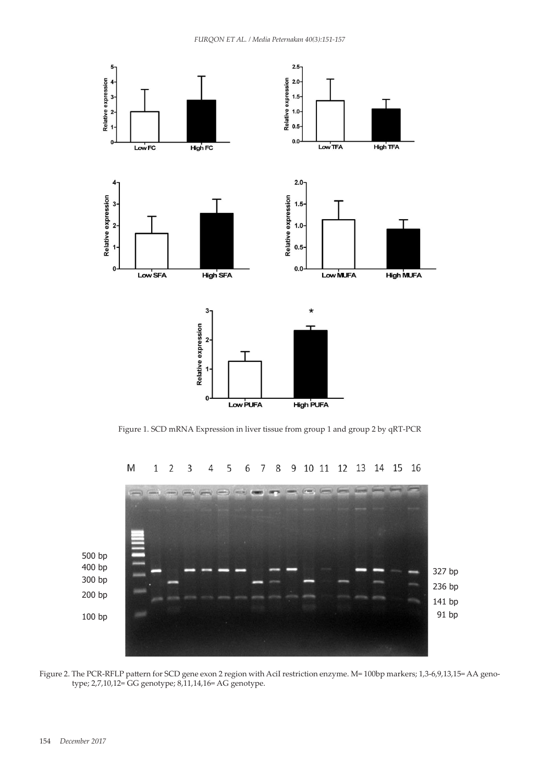

365 **Figure 1.** SCD mRNA Expression in liver tissue from group 1 and group 2 by qRT-PCR Figure 1. SCD mRNA Expression in liver tissue from group 1 and group 2 by qRT-PCR



 $\overline{2}$ 14 15 16  $1\,$ 3 10 11 12 13  $\overline{4}$ 5 8 9 6 7

Figure 2. The PCR-RFLP pattern for SCD gene exon 2 region with AciI restriction enzyme. M= 100bp markers; 1,3-6,9,13,15= AA genotype; 2,7,10,12= GG genotype; 8,11,14,16= AG genotype.

M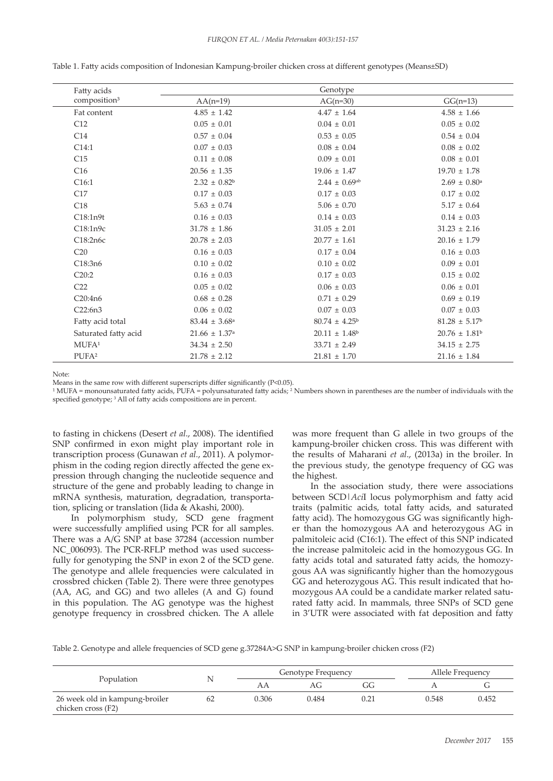| Fatty acids              | Genotype                      |                               |                               |  |  |
|--------------------------|-------------------------------|-------------------------------|-------------------------------|--|--|
| composition <sup>3</sup> | $AA(n=19)$                    | $AG(n=30)$                    | $GG(n=13)$                    |  |  |
| Fat content              | $4.85 \pm 1.42$               | $4.47 \pm 1.64$               | $4.58 \pm 1.66$               |  |  |
| C12                      | $0.05 \pm 0.01$               | $0.04 \pm 0.01$               | $0.05 \pm 0.02$               |  |  |
| C14                      | $0.57 \pm 0.04$               | $0.53 \pm 0.05$               | $0.54 \pm 0.04$               |  |  |
| C14:1                    | $0.07 \pm 0.03$               | $0.08 \pm 0.04$               | $0.08 \pm 0.02$               |  |  |
| C15                      | $0.11 \pm 0.08$               | $0.09 \pm 0.01$               | $0.08 \pm 0.01$               |  |  |
| C16                      | $20.56 \pm 1.35$              | $19.06 \pm 1.47$              | $19.70 \pm 1.78$              |  |  |
| C16:1                    | $2.32 \pm 0.82^b$             | $2.44 \pm 0.69$ <sup>ab</sup> | $2.69 \pm 0.80^{\text{a}}$    |  |  |
| C17                      | $0.17\,\pm\,0.03$             | $0.17\,\pm\,0.03$             | $0.17 \pm 0.02$               |  |  |
| C18                      | $5.63 \pm 0.74$               | $5.06 \pm 0.70$               | $5.17 \pm 0.64$               |  |  |
| C18:1n9t                 | $0.16 \pm 0.03$               | $0.14 \pm 0.03$               | $0.14 \pm 0.03$               |  |  |
| C18:1n9c                 | $31.78 \pm 1.86$              | $31.05 \pm 2.01$              | $31.23 \pm 2.16$              |  |  |
| C18:2n6c                 | $20.78 \pm 2.03$              | $20.77 \pm 1.61$              | $20.16 \pm 1.79$              |  |  |
| C20                      | $0.16 \pm 0.03$               | $0.17 \pm 0.04$               | $0.16 \pm 0.03$               |  |  |
| C18:3n6                  | $0.10 \pm 0.02$               | $0.10 \pm 0.02$               | $0.09 \pm 0.01$               |  |  |
| C20:2                    | $0.16 \pm 0.03$               | $0.17\,\pm\,0.03$             | $0.15 \pm 0.02$               |  |  |
| C <sub>22</sub>          | $0.05 \pm 0.02$               | $0.06 \pm 0.03$               | $0.06 \pm 0.01$               |  |  |
| C20:4n6                  | $0.68 \pm 0.28$               | $0.71 \pm 0.29$               | $0.69 \pm 0.19$               |  |  |
| C22:6n3                  | $0.06 \pm 0.02$               | $0.07 \pm 0.03$               | $0.07 \pm 0.03$               |  |  |
| Fatty acid total         | $83.44 \pm 3.68$ <sup>a</sup> | $80.74 \pm 4.25^{\circ}$      | $81.28 \pm 5.17^b$            |  |  |
| Saturated fatty acid     | $21.66\,\pm\,1.37^{\rm a}$    | $20.11 \pm 1.48$ <sup>b</sup> | $20.76 \pm 1.81$ <sup>b</sup> |  |  |
| MUFA <sup>1</sup>        | $34.34 \pm 2.50$              | $33.71 \pm 2.49$              | $34.15 \pm 2.75$              |  |  |
| PUFA <sup>2</sup>        | $21.78 \pm 2.12$              | $21.81 \pm 1.70$              | $21.16 \pm 1.84$              |  |  |

Table 1. Fatty acids composition of Indonesian Kampung-broiler chicken cross at different genotypes (Means±SD)

Note:

Means in the same row with different superscripts differ significantly (P<0.05).

 $1$  MUFA = monounsaturated fatty acids, PUFA = polyunsaturated fatty acids;  $2$  Numbers shown in parentheses are the number of individuals with the specified genotype; <sup>3</sup> All of fatty acids compositions are in percent.

to fasting in chickens (Desert *et al*., 2008). The identified SNP confirmed in exon might play important role in transcription process (Gunawan *et al.*, 2011). A polymorphism in the coding region directly affected the gene expression through changing the nucleotide sequence and structure of the gene and probably leading to change in mRNA synthesis, maturation, degradation, transportation, splicing or translation (Iida & Akashi, 2000).

In polymorphism study, SCD gene fragment were successfully amplified using PCR for all samples. There was a A/G SNP at base 37284 (accession number NC\_006093). The PCR-RFLP method was used successfully for genotyping the SNP in exon 2 of the SCD gene. The genotype and allele frequencies were calculated in crossbred chicken (Table 2). There were three genotypes (AA, AG, and GG) and two alleles (A and G) found in this population. The AG genotype was the highest genotype frequency in crossbred chicken. The A allele was more frequent than G allele in two groups of the kampung-broiler chicken cross. This was different with the results of Maharani *et al*., (2013a) in the broiler. In the previous study, the genotype frequency of GG was the highest.

In the association study, there were associations between SCD|*Aci*I locus polymorphism and fatty acid traits (palmitic acids, total fatty acids, and saturated fatty acid). The homozygous GG was significantly higher than the homozygous AA and heterozygous AG in palmitoleic acid (C16:1). The effect of this SNP indicated the increase palmitoleic acid in the homozygous GG. In fatty acids total and saturated fatty acids, the homozygous AA was significantly higher than the homozygous GG and heterozygous AG. This result indicated that homozygous AA could be a candidate marker related saturated fatty acid. In mammals, three SNPs of SCD gene in 3'UTR were associated with fat deposition and fatty

Table 2. Genotype and allele frequencies of SCD gene g.37284A>G SNP in kampung-broiler chicken cross (F2)

|                                                      |     | Genotype Frequency |       |      | Allele Frequency |       |
|------------------------------------------------------|-----|--------------------|-------|------|------------------|-------|
| Population                                           |     |                    | AG.   | GG   |                  |       |
| 26 week old in kampung-broiler<br>chicken cross (F2) | -62 | 0.306              | 0.484 | 0.21 | 0.548            | 0.452 |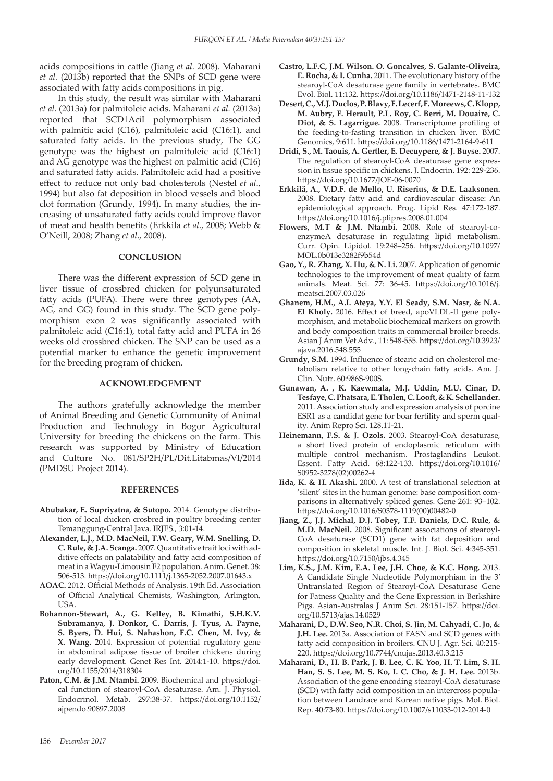acids compositions in cattle (Jiang *et al*. 2008). Maharani *et al.* (2013b) reported that the SNPs of SCD gene were associated with fatty acids compositions in pig.

In this study, the result was similar with Maharani *et al.* (2013a) for palmitoleic acids. Maharani *et al.* (2013a) reported that SCD|AciI polymorphism associated with palmitic acid (C16), palmitoleic acid (C16:1), and saturated fatty acids. In the previous study, The GG genotype was the highest on palmitoleic acid (C16:1) and AG genotype was the highest on palmitic acid (C16) and saturated fatty acids. Palmitoleic acid had a positive effect to reduce not only bad cholesterols (Nestel *et al*., 1994) but also fat deposition in blood vessels and blood clot formation (Grundy, 1994). In many studies, the increasing of unsaturated fatty acids could improve flavor of meat and health benefits (Erkkila *et al*., 2008; Webb & O'Neill, 2008; Zhang *et al*., 2008).

#### **CONCLUSION**

There was the different expression of SCD gene in liver tissue of crossbred chicken for polyunsaturated fatty acids (PUFA). There were three genotypes (AA, AG, and GG) found in this study. The SCD gene polymorphism exon 2 was significantly associated with palmitoleic acid (C16:1), total fatty acid and PUFA in 26 weeks old crossbred chicken. The SNP can be used as a potential marker to enhance the genetic improvement for the breeding program of chicken.

#### **ACKNOWLEDGEMENT**

The authors gratefully acknowledge the member of Animal Breeding and Genetic Community of Animal Production and Technology in Bogor Agricultural University for breeding the chickens on the farm. This research was supported by Ministry of Education and Culture No. 081/SP2H/PL/Dit.Litabmas/VI/2014 (PMDSU Project 2014).

#### **REFERENCES**

- **Abubakar, E. Supriyatna, & Sutopo.** 2014. Genotype distribution of local chicken crosbred in poultry breeding center Temanggung-Central Java. IRJES., 3:01-14.
- **Alexander, L.J., M.D. MacNeil, T.W. Geary, W.M. Snelling, D. C. Rule, & J.A. Scanga.** 2007. Quantitative trait loci with additive effects on palatability and fatty acid composition of meat in a Wagyu-Limousin F2 population. Anim. Genet. 38: 506-513. https://doi.org/10.1111/j.1365-2052.2007.01643.x
- **AOAC.** 2012. Official Methods of Analysis. 19th Ed. Association of Official Analytical Chemists, Washington, Arlington, USA.
- **Bohannon-Stewart, A., G. Kelley, B. Kimathi, S.H.K.V. Subramanya, J. Donkor, C. Darris, J. Tyus, A. Payne, S. Byers, D. Hui, S. Nahashon, F.C. Chen, M. Ivy, & X. Wang.** 2014. Expression of potential regulatory gene in abdominal adipose tissue of broiler chickens during early development. Genet Res Int. 2014:1-10. https://doi. org/10.1155/2014/318304
- **Paton, C.M. & J.M. Ntambi.** 2009. Biochemical and physiological function of stearoyl-CoA desaturase. Am. J. Physiol. Endocrinol. Metab. 297:38-37. https://doi.org/10.1152/ ajpendo.90897.2008
- **Castro, L.F.C, J.M. Wilson. O. Goncalves, S. Galante-Oliveira, E. Rocha, & I. Cunha.** 2011. The evolutionary history of the stearoyl-CoA desaturase gene family in vertebrates. BMC Evol. Biol. 11:132. https://doi.org/10.1186/1471-2148-11-132
- **Desert, C., M.J. Duclos, P. Blavy, F. Lecerf, F. Moreews, C. Klopp, M. Aubry, F. Herault, P.L. Roy, C. Berri, M. Douaire, C. Diot, & S. Lagarrigue.** 2008. Transcriptome profiling of the feeding-to-fasting transition in chicken liver. BMC Genomics, 9:611. https://doi.org/10.1186/1471-2164-9-611
- **Dridi, S., M. Taouis, A. Gertler, E. Decuypere, & J. Buyse.** 2007. The regulation of stearoyl-CoA desaturase gene expression in tissue specific in chickens. J. Endocrin. 192: 229-236. https://doi.org/10.1677/JOE-06-0070
- **Erkkilä, A., V.D.F. de Mello, U. Riserius, & D.E. Laaksonen.** 2008. Dietary fatty acid and cardiovascular disease: An epidemiological approach. Prog. Lipid Res. 47:172-187. https://doi.org/10.1016/j.plipres.2008.01.004
- **Flowers, M.T & J.M. Ntambi.** 2008. Role of stearoyl-coenzymeA desaturase in regulating lipid metabolism. Curr. Opin. Lipidol. 19:248–256. https://doi.org/10.1097/ MOL.0b013e3282f9b54d
- **Gao, Y., R. Zhang, X. Hu, & N. Li.** 2007. Application of genomic technologies to the improvement of meat quality of farm animals. Meat. Sci. 77: 36-45. https://doi.org/10.1016/j. meatsci.2007.03.026
- **Ghanem, H.M., A.I. Ateya, Y.Y. El Seady, S.M. Nasr, & N.A. El Kholy.** 2016. Effect of breed, apoVLDL-II gene polymorphism, and metabolic biochemical markers on growth and body composition traits in commercial broiler breeds. Asian J Anim Vet Adv., 11: 548-555. https://doi.org/10.3923/ ajava.2016.548.555
- **Grundy, S.M.** 1994. Influence of stearic acid on cholesterol metabolism relative to other long-chain fatty acids. Am. J. Clin. Nutr. 60:986S-900S.
- **Gunawan, A. , K. Kaewmala, M.J. Uddin, M.U. Cinar, D. Tesfaye, C. Phatsara, E. Tholen, C. Looft, & K. Schellander.**  2011. Association study and expression analysis of porcine ESR1 as a candidat gene for boar fertility and sperm quality. Anim Repro Sci. 128.11-21.
- **Heinemann, F.S. & J. Ozols.** 2003. Stearoyl-CoA desaturase, a short lived protein of endoplasmic reticulum with multiple control mechanism. Prostaglandins Leukot. Essent. Fatty Acid. 68:122-133. https://doi.org/10.1016/ S0952-3278(02)00262-4
- **Iida, K. & H. Akashi.** 2000. A test of translational selection at 'silent' sites in the human genome: base composition comparisons in alternatively spliced genes. Gene 261: 93–102. https://doi.org/10.1016/S0378-1119(00)00482-0
- **Jiang, Z., J.J. Michal, D.J. Tobey, T.F. Daniels, D.C. Rule, & M.D. MacNeil.** 2008. Significant associations of stearoyl-CoA desaturase (SCD1) gene with fat deposition and composition in skeletal muscle. Int. J. Biol. Sci. 4:345-351. https://doi.org/10.7150/ijbs.4.345
- **Lim, K.S., J.M. Kim, E.A. Lee, J.H. Choe, & K.C. Hong.** 2013. A Candidate Single Nucleotide Polymorphism in the 3′ Untranslated Region of Stearoyl-CoA Desaturase Gene for Fatness Quality and the Gene Expression in Berkshire Pigs. Asian-Australas J Anim Sci. 28:151-157. https://doi. org/10.5713/ajas.14.0529
- **Maharani, D., D.W. Seo, N.R. Choi, S. Jin, M. Cahyadi, C. Jo, & J.H. Lee.** 2013a. Association of FASN and SCD genes with fatty acid composition in broilers. CNU J. Agr. Sci. 40:215- 220. https://doi.org/10.7744/cnujas.2013.40.3.215
- **Maharani, D., H. B. Park, J. B. Lee, C. K. Yoo, H. T. Lim, S. H. Han, S. S. Lee, M. S. Ko, I. C. Cho, & J. H. Lee.** 2013b. Association of the gene encoding stearoyl-CoA desaturase (SCD) with fatty acid composition in an intercross population between Landrace and Korean native pigs. Mol. Biol. Rep. 40:73-80. https://doi.org/10.1007/s11033-012-2014-0